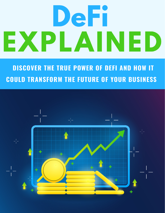# DeFi EXPLAINED

**DISCOVER THE TRUE POWER OF DEFI AND HOW IT COULD TRANSFORM THE FUTURE OF YOUR BUSINESS** 

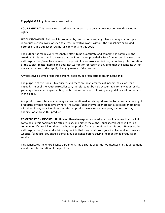**Copyright © All rights reserved worldwide.** 

**YOUR RIGHTS:** This book is restricted to your personal use only. It does not come with any other rights.

**LEGAL DISCLAIMER:** This book is protected by international copyright law and may not be copied, reproduced, given away, or used to create derivative works without the publisher's expressed permission. The publisher retains full copyrights to this book.

The author has made every reasonable effort to be as accurate and complete as possible in the creation of this book and to ensure that the information provided is free from errors; however, the author/publisher/ reseller assumes no responsibility for errors, omissions, or contrary interpretation of the subject matter herein and does not warrant or represent at any time that the contents within are accurate due to the rapidly changing nature of the internet.

Any perceived slights of specific persons, peoples, or organizations are unintentional.

The purpose of this book is to educate, and there are no guarantees of income, sales, or results implied. The publisher/author/reseller can, therefore, not be held accountable for any poor results you may attain when implementing the techniques or when following any guidelines set out for you in this book.

Any product, website, and company names mentioned in this report are the trademarks or copyright properties of their respective owners. The author/publisher/reseller are not associated or affiliated with them in any way. Nor does the referred product, website, and company names sponsor, endorse, or approve this product.

**COMPENSATION DISCLOSURE:** Unless otherwise expressly stated, you should assume that the links contained in this book may be affiliate links, and either the author/publisher/reseller will earn a commission if you click on them and buy the product/service mentioned in this book. However, the author/publisher/reseller disclaims any liability that may result from your involvement with any such websites/products. You should perform due diligence before buying the mentioned products or services.

This constitutes the entire license agreement. Any disputes or terms not discussed in this agreement are at the sole discretion of the publisher.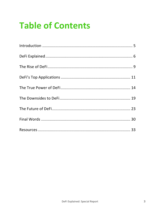## **Table of Contents**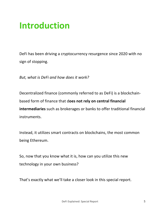## **Introduction**

DeFi has been driving a cryptocurrency resurgence since 2020 with no sign of stopping.

**But, what is DeFi and how does it work?** 

Decentralized finance (commonly referred to as DeFi) is a blockchainbased form of finance that does not rely on central financial **intermediaries** such as brokerages or banks to offer traditional financial instruments. 

Instead, it utilizes smart contracts on blockchains, the most common being Ethereum.

So, now that you know what it is, how can you utilize this new technology in your own business?

That's exactly what we'll take a closer look in this special report.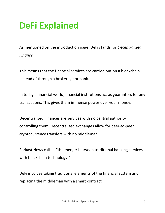## **DeFi Explained**

As mentioned on the introduction page, DeFi stands for *Decentralized Finance.* 

This means that the financial services are carried out on a blockchain instead of through a brokerage or bank.

In today's financial world, financial institutions act as guarantors for any transactions. This gives them immense power over your money.

Decentralized Finances are services with no central authority controlling them. Decentralized exchanges allow for peer-to-peer cryptocurrency transfers with no middleman.

Forkast News calls it "the merger between traditional banking services with blockchain technology."

DeFi involves taking traditional elements of the financial system and replacing the middleman with a smart contract.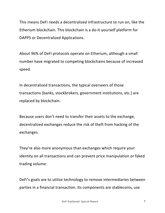This means DeFi needs a decentralized infrastructure to run on, like the Etherium blockchain. This blockchain is a do-it-yourself platform for DAPPS or Decentralized Applications.

About 96% of DeFi protocols operate on Etherium, although a small number have migrated to competing blockchains because of increased speed. 

In decentralized transactions, the typical overseers of those transactions (banks, stockbrokers, government institutions, etc.) are replaced by blockchain.

Because users don't need to transfer their assets to the exchange, decentralized exchanges reduce the risk of theft from hacking of the exchanges. 

They're also more anonymous than exchanges which require your identity on all transactions and can prevent price manipulation or faked trading volume.

DeFi's goals are to utilize technology to remove intermediaries between parties in a financial transaction. Its components are stablecoins, use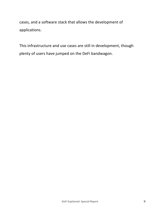cases, and a software stack that allows the development of applications. 

This infrastructure and use cases are still in development, though plenty of users have jumped on the DeFi bandwagon.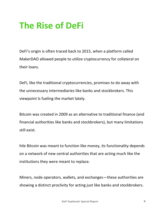## **The Rise of DeFi**

DeFi's origin is often traced back to 2015, when a platform called MakerDAO allowed people to utilize cryptocurrency for collateral on their loans.

DeFi, like the traditional cryptocurrencies, promises to do away with the unnecessary intermediaries like banks and stockbrokers. This viewpoint Is fueling the market lately.

Bitcoin was created in 2009 as an alternative to traditional finance (and financial authorities like banks and stockbrokers), but many limitations still exist.

hile Bitcoin was meant to function like money, its functionality depends on a network of new central authorities that are acting much like the institutions they were meant to replace.

Miners, node operators, wallets, and exchanges—these authorities are showing a distinct proclivity for acting just like banks and stockbrokers.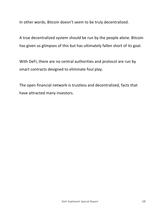In other words, Bitcoin doesn't seem to be truly decentralized.

A true decentralized system should be run by the people alone. Bitcoin has given us glimpses of this but has ultimately fallen short of its goal.

With DeFi, there are no central authorities and protocol are run by smart contracts designed to eliminate foul play.

The open financial network is trustless and decentralized, facts that have attracted many investors.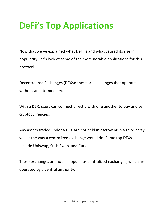## **DeFi's Top Applications**

Now that we've explained what DeFi is and what caused its rise in popularity, let's look at some of the more notable applications for this protocol.

Decentralized Exchanges (DEXs): these are exchanges that operate without an intermediary.

With a DEX, users can connect directly with one another to buy and sell cryptocurrencies. 

Any assets traded under a DEX are not held in escrow or in a third party wallet the way a centralized exchange would do. Some top DEXs include Uniswap, SushiSwap, and Curve.

These exchanges are not as popular as centralized exchanges, which are operated by a central authority.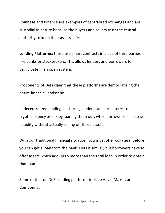Coinbase and Binance are examples of centralized exchanges and are custodial in nature because the buyers and sellers trust the central authority to keep their assets safe.

**Lending Platforms:** these use smart contracts in place of third parties like banks or stockbrokers. This allows lenders and borrowers to participate in an open system.

Proponents of DeFi claim that these platforms are democratizing the entire financial landscape.

In decentralized lending platforms, lenders can earn interest on cryptocurrency assets by loaning them out, while borrowers can assess liquidity without actually selling off those assets.

With our traditional financial situation, you must offer collateral before you can get a loan from the bank. DeFi is similar, but borrowers have to offer assets which add up to more than the total loan in order to obtain that loan.

Some of the top DeFi lending platforms include Aave, Maker, and Compound.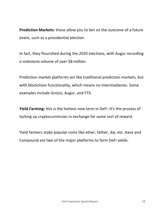**Prediction Markets:** these allow you to bet on the outcome of a future event, such as a presidential election.

In fact, they flourished during the 2020 elections, with Augur recording a milestone volume of over \$8 million.

Prediction market platforms act like traditional prediction markets, but with blockchain functionality, which means no intermediaries. Some examples include Gnosis, Augur, and FTX.

**Yield Farming:** this is the hottest new term in DeFi. It's the process of locking up cryptocurrencies in exchange for some sort of reward.

Yield farmers stake popular coins like ether, tether, dai, etc. Aave and Compound are two of the major platforms to farm DeFi yields.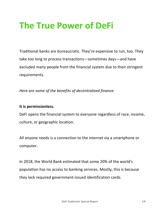## **The True Power of DeFi**

Traditional banks are bureaucratic. They're expensive to run, too. They take too long to process transactions—sometimes days—and have excluded many people from the financial system due to their stringent requirements.

Here are some of the benefits of decentralized finance.

#### It is permissionless.

DeFi opens the financial system to everyone regardless of race, income, culture, or geographic location.

All anyone needs is a connection to the internet via a smartphone or computer. 

In 2018, the World Bank estimated that some 20% of the world's population has no access to banking services. Mostly, this is because they lack required government-issued identification cards.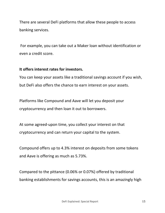There are several DeFi platforms that allow these people to access banking services.

For example, you can take out a Maker loan without identification or even a credit score.

#### It offers interest rates for investors.

You can keep your assets like a traditional savings account if you wish, but DeFi also offers the chance to earn interest on your assets.

Platforms like Compound and Aave will let you deposit your cryptocurrency and then loan it out to borrowers.

At some agreed-upon time, you collect your interest on that cryptocurrency and can return your capital to the system.

Compound offers up to 4.3% interest on deposits from some tokens and Aave is offering as much as 5.73%.

Compared to the pittance (0.06% or 0.07%) offered by traditional banking establishments for savings accounts, this is an amazingly high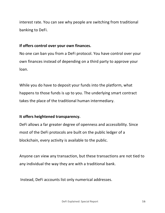interest rate. You can see why people are switching from traditional banking to DeFi.

#### **If offers control over your own finances.**

No one can ban you from a DeFi protocol. You have control over your own finances instead of depending on a third party to approve your loan. 

While you do have to deposit your funds into the platform, what happens to those funds is up to you. The underlying smart contract takes the place of the traditional human intermediary.

#### **It offers heightened transparency.**

DeFi allows a far greater degree of openness and accessibility. Since most of the DeFi protocols are built on the public ledger of a blockchain, every activity is available to the public.

Anyone can view any transaction, but these transactions are not tied to any individual the way they are with a traditional bank.

Instead, DeFi accounts list only numerical addresses.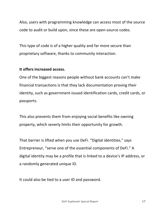Also, users with programming knowledge can access most of the source code to audit or build upon, since these are open-source codes.

This type of code is of a higher quality and far more secure than proprietary software, thanks to community interaction.

#### It offers increased access.

One of the biggest reasons people without bank accounts can't make financial transactions is that they lack documentation proving their identity, such as government-issued identification cards, credit cards, or passports. 

This also prevents them from enjoying social benefits like owning property, which severly limits their opportunity for growth.

That barrier is lifted when you use DeFi. "Digital identities," says Entrepreneur, "serve one of the essential components of DeFi." A digital identity may be a profile that is linked to a device's IP address, or a randomly generated unique ID.

It could also be tied to a user ID and password.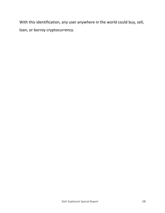With this identification, any user anywhere in the world could buy, sell, loan, or borroy cryptocurrency.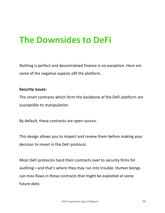## **The Downsides to DeFi**

Nothing is perfect and decentralized finance is no exception. Here are some of the negative aspects of0 the platform.

#### **Security issues:**

The smart contracts which form the backbone of the DeFi platform are susceptible to manipulation.

By default, these contracts are open-source.

This design allows you to inspect and review them before making your decision to invest in the DeFi protocol.

Most DeFi protocols hand their contracts over to security firms for auditing—and that's where they may run into trouble. Human beings can miss flaws in these contracts that might be exploited at some future date.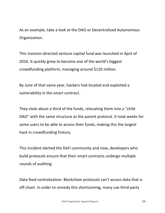As an example, take a look at the DAO or Decentralized Autonomous Organization. 

This investor-directed venture capital fund was launched in April of 2016. It quickly grew to become one of the world's biggest crowdfunding platform, managing around \$120 million.

By June of that same year, hackers had located and exploited a vulnerability in the smart contract.

They stole about a third of the funds, relocating them into a "child DAO" with the same structure as the parent protocol. It took weeks for some users to be able to access their funds, making this the largest hack in crowdfunding history.

This incident alerted the DeFi community and now, developers who build protocols ensure that their smart contracts undergo multiple rounds of auditing.

Data feed centralization: Blockchain protocols can't access data that is off-chain. In order to remedy this shortcoming, many use third-party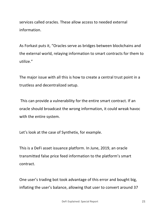services called oracles. These allow access to needed external information. 

As Forkast puts it, "Oracles serve as bridges between blockchains and the external world, relaying information to smart contracts for them to utilize." 

The major issue with all this is how to create a central trust point in a trustless and decentralized setup.

This can provide a vulnerability for the entire smart contract. If an oracle should broadcast the wrong information, it could wreak havoc with the entire system.

Let's look at the case of Synthetix, for example.

This is a DeFi asset issuance platform. In June, 2019, an oracle transmitted false price feed information to the platform's smart contract. 

One user's trading bot took advantage of this error and bought big, inflating the user's balance, allowing that user to convert around 37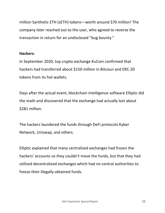million Synthetic ETH (sETH) tokens—worth around \$70 million! The company later reached out to the user, who agreed to reverse the transaction in return for an undisclosed "bug bounty."

#### **Hackers:**

In September 2020, top crypto exchange KuCoin confirmed that hackers had transferred about \$150 million in Bitcoun and ERC-20 tokens from its hot wallets.

Days after the actual event, blockchain intelligence software Elliptic did the math and discovered that the exchange had actually lost about \$281 million.

The hackers laundered the funds through DeFi protocols Kyber Network, Uniswap, and others.

Elliptic explained that many centralized exchanges had frozen the hackers' accounts so they couldn't move the funds, but that they had utilized decentralized exchanges which had no central authorities to freeze their illegally obtained funds.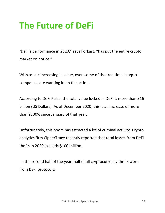## **The Future of DeFi**

"DeFi's performance in 2020," says Forkast, "has put the entire crypto market on notice."

With assets increasing in value, even some of the traditional crypto companies are wanting in on the action.

According to DeFi Pulse, the total value locked in DeFi is more than \$16 billion (US Dollars). As of December 2020, this is an increase of more than 2300% since January of that year.

Unfortunately, this boom has attracted a lot of criminal activity. Crypto analytics firm CipherTrace recently reported that total losses from DeFi thefts in 2020 exceeds \$100 million.

In the second half of the year, half of all cryptocurrency thefts were from DeFi protocols.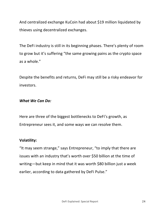And centralized exchange KuCoin had about \$19 million liquidated by thieves using decentralized exchanges.

The DeFi industry is still in its beginning phases. There's plenty of room to grow but it's suffering "the same growing pains as the crypto space as a whole."

Despite the benefits and returns, DeFi may still be a risky endeavor for investors.

#### *What* We Can Do:

Here are three of the biggest bottlenecks to DeFi's growth, as Entrepreneur sees it, and some ways we can resolve them.

#### **Volatility:**

"It may seem strange," says Entrepreneur, "to imply that there are issues with an industry that's worth over \$50 billion at the time of writing—but keep in mind that it was worth \$80 billion just a week earlier, according to data gathered by DeFi Pulse."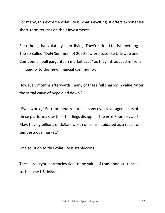For many, this extreme volatility is what's exciting. It offers exponential short-term returns on their investments.

For others, that volatility is terrifying. They're afraid to risk anything. The so-called "DeFi Summer" of 2020 saw projects like Uniswap and Compound "pull gargantuan market caps" as they introduced millions in liquidity to this new financial community.

However, months afterwards, many of these fell sharply in value "after the initial wave of hype died down."

"Even worse," Entrepreneur reports, "many over-leveraged users of these platforms saw their holdings disappear the next February and May, having billions of dollars worth of coins liquidated as a result of a tempestuous market."

One solution to this volatility is stablecoins.

These are cryptocurrencies tied to the value of traditional currencies such as the US dollar.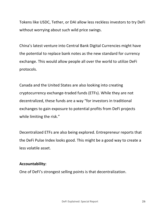Tokens like USDC, Tether, or DAI allow less reckless investors to try DeFi without worrying about such wild price swings.

China's latest venture into Central Bank Digital Currencies might have the potential to replace bank notes as the new standard for currency exchange. This would allow people all over the world to utilize DeFi protocols. 

Canada and the United States are also looking into creating cryptocurrency exchange-traded funds (ETFs). While they are not decentralized, these funds are a way "for investors in traditional exchanges to gain exposure to potential profits from DeFi projects while limiting the risk."

Decentralized ETFs are also being explored. Entrepreneur reports that the DeFi Pulse Index looks good. This might be a good way to create a less volatile asset.

#### **Accountability:**

One of DeFi's strongest selling points is that decentralization.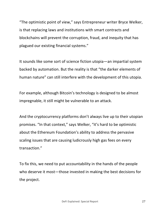"The optimistic point of view," says Entrepreneur writer Bryce Welker, is that replacing laws and institutions with smart contracts and blockchains will prevent the corruption, fraud, and inequity that has plagued our existing financial systems."

It sounds like some sort of science fiction utopia—an impartial system backed by automation. But the reality is that "the darker elements of human nature" can still interfere with the development of this utopia.

For example, although Bitcoin's technology is designed to be almost impregnable, it still might be vulnerable to an attack.

And the cryptocurrency platforms don't always live up to their utopian promises. "In that context," says Welker, "it's hard to be optimistic about the Ethereum Foundation's ability to address the pervasive scaling issues that are causing ludicrously high gas fees on every transaction." 

To fix this, we need to put accountability in the hands of the people who deserve it most—those invested in making the best decisions for the project.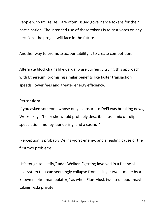People who utilize DeFi are often issued governance tokens for their participation. The intended use of these tokens is to cast votes on any decisions the project will face in the future.

Another way to promote accountability is to create competition.

Alternate blockchains like Cardano are currently trying this approach with Ethereum, promising similar benefits like faster transaction speeds, lower fees and greater energy efficiency.

#### **Perception:**

If you asked someone whose only exposure to DeFi was breaking news, Welker says "he or she would probably describe it as a mix of tulip speculation, money laundering, and a casino."

Perception is probably DeFi's worst enemy, and a leading cause of the first two problems.

"It's tough to justify," adds Welker, "getting involved in a financial ecosystem that can seemingly collapse from a single tweet made by a known market manipulator," as when Elon Musk tweeted about maybe taking Tesla private.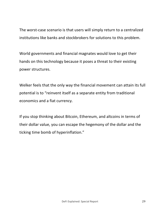The worst-case scenario is that users will simply return to a centralized institutions like banks and stockbrokers for solutions to this problem.

World governments and financial magnates would love to get their hands on this technology because it poses a threat to their existing power structures.

Welker feels that the only way the financial movement can attain its full potential is to "reinvent itself as a separate entity from traditional economics and a fiat currency.

If you stop thinking about Bitcoin, Ethereum, and altcoins in terms of their dollar value, you can escape the hegemony of the dollar and the ticking time bomb of hyperinflation."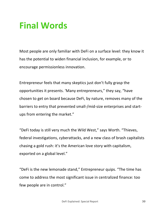## **Final Words**

Most people are only familiar with DeFi on a surface level: they know it has the potential to widen financial inclusion, for example, or to encourage permissionless innovation.

Entrepreneur feels that many skeptics just don't fully grasp the opportunities it presents. 'Many entrepreneurs," they say, "have chosen to get on board because DeFi, by nature, removes many of the barriers to entry that prevented small-/mid-size enterprises and startups from entering the market."

"DeFi today is still very much the Wild West," says Worth. "Thieves, federal investigations, cyberattacks, and a new class of brash capitalists chasing a gold rush: it's the American love story with capitalism, exported on a global level."

"DeFi is the new lemonade stand," Entrepreneur quips. "The time has come to address the most significant issue in centralized finance: too few people are in control."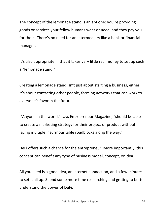The concept of the lemonade stand is an apt one: you're providing goods or services your fellow humans want or need, and they pay you for them. There's no need for an intermediary like a bank or financial manager. 

It's also appropriate in that it takes very little real money to set up such a "lemonade stand."

Creating a lemonade stand isn't just about starting a business, either. It's about contacting other people, forming networks that can work to everyone's favor in the future.

"Anyone in the world," says Entrepreneur Magazine, "should be able to create a marketing strategy for their project or product without facing multiple insurmountable roadblocks along the way."

DeFi offers such a chance for the entrepreneur. More importantly, this concept can benefit any type of business model, concept, or idea.

All you need is a good idea, an internet connection, and a few minutes to set it all up. Spend some more time researching and getting to better understand the power of DeFi.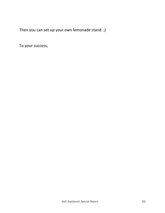Then you can set up your own lemonade stand. ;)

To your success,